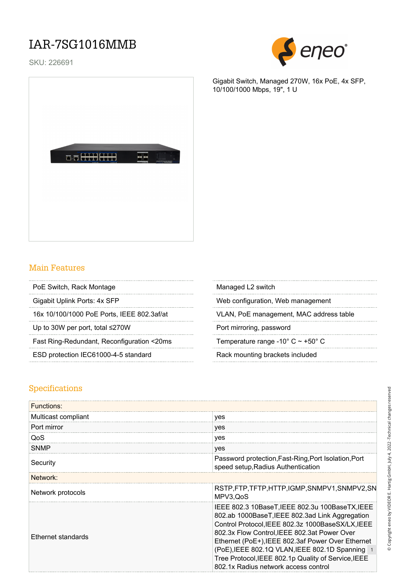### IAR-7SG1016MMB

SKU: 226691



Gigabit Switch, Managed 270W, 16x PoE, 4x SFP,



#### Main Features

- PoE Switch, Rack Montage
- 

Up to 30W per port, total ≤270W Port mirroring, password

Fast Ring-Redundant, Reconfiguration <20ms Temperature range -10° C ~ +50° C

ESD protection IEC61000-4-5 standard Rack mounting brackets included

10/100/1000 Mbps, 19", 1 U

| Managed L2 switch |  |
|-------------------|--|
|-------------------|--|

Gigabit Uplink Ports: 4x SFP Web configuration, Web management

16x 10/100/1000 PoE Ports, IEEE 802.3af/at VLAN, PoE management, MAC address table

#### Specifications

| Functions:          |                                                                                                                                                                                                                                                                                                                                                                                                                |
|---------------------|----------------------------------------------------------------------------------------------------------------------------------------------------------------------------------------------------------------------------------------------------------------------------------------------------------------------------------------------------------------------------------------------------------------|
| Multicast compliant | yes                                                                                                                                                                                                                                                                                                                                                                                                            |
| Port mirror         | yes                                                                                                                                                                                                                                                                                                                                                                                                            |
| QoS                 | yes                                                                                                                                                                                                                                                                                                                                                                                                            |
| <b>SNMP</b>         | yes                                                                                                                                                                                                                                                                                                                                                                                                            |
| Security            | Password protection, Fast-Ring, Port Isolation, Port<br>speed setup, Radius Authentication                                                                                                                                                                                                                                                                                                                     |
| Network:            |                                                                                                                                                                                                                                                                                                                                                                                                                |
| Network protocols   | RSTP,FTP,TFTP,HTTP,IGMP,SNMPV1,SNMPV2,SN<br>MPV3, QoS                                                                                                                                                                                                                                                                                                                                                          |
| Ethernet standards  | IEEE 802.3 10BaseT, IEEE 802.3u 100BaseTX, IEEE<br>802.ab 1000BaseT, IEEE 802.3ad Link Aggregation<br>Control Protocol, IEEE 802.3z 1000BaseSX/LX, IEEE<br>802.3x Flow Control, IEEE 802.3at Power Over<br>Ethernet (PoE+), IEEE 802.3af Power Over Ethernet<br>(PoE), IEEE 802.1Q VLAN, IEEE 802.1D Spanning 1<br>Tree Protocol, IEEE 802.1p Quality of Service, IEEE<br>802.1x Radius network access control |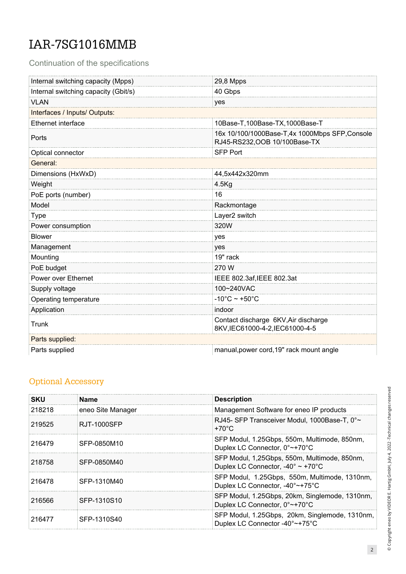# IAR-7SG1016MMB

Continuation of the specifications

| Internal switching capacity (Mpps)   | 29,8 Mpps                                                                       |  |  |
|--------------------------------------|---------------------------------------------------------------------------------|--|--|
| Internal switching capacity (Gbit/s) | 40 Gbps                                                                         |  |  |
| <b>VLAN</b>                          | yes                                                                             |  |  |
| Interfaces / Inputs/ Outputs:        |                                                                                 |  |  |
| Ethernet interface                   | 10Base-T,100Base-TX,1000Base-T                                                  |  |  |
| Ports                                | 16x 10/100/1000Base-T,4x 1000Mbps SFP, Console<br>RJ45-RS232, OOB 10/100Base-TX |  |  |
| Optical connector                    | <b>SFP Port</b>                                                                 |  |  |
| General:                             |                                                                                 |  |  |
| Dimensions (HxWxD)                   | 44,5x442x320mm                                                                  |  |  |
| Weight                               | $4.5$ Kg                                                                        |  |  |
| PoE ports (number)                   | 16                                                                              |  |  |
| Model                                | Rackmontage                                                                     |  |  |
| <b>Type</b>                          | Layer2 switch                                                                   |  |  |
| Power consumption                    | 320W                                                                            |  |  |
| <b>Blower</b>                        | yes                                                                             |  |  |
| Management                           | yes                                                                             |  |  |
| Mounting                             | 19" rack                                                                        |  |  |
| PoE budget                           | 270 W                                                                           |  |  |
| Power over Ethernet                  | IEEE 802.3af, IEEE 802.3at                                                      |  |  |
| Supply voltage                       | 100~240VAC                                                                      |  |  |
| Operating temperature                | $-10^{\circ}$ C ~ +50 $^{\circ}$ C                                              |  |  |
| Application                          | indoor                                                                          |  |  |
| Trunk                                | Contact discharge 6KV, Air discharge<br>8KV,IEC61000-4-2,IEC61000-4-5           |  |  |
| Parts supplied:                      |                                                                                 |  |  |
| Parts supplied                       | manual, power cord, 19" rack mount angle                                        |  |  |

### Optional Accessory

| SKU    | <b>Name</b>       | <b>Description</b>                                                                                     |
|--------|-------------------|--------------------------------------------------------------------------------------------------------|
| 218218 | eneo Site Manager | Management Software for eneo IP products                                                               |
| 219525 | RJT-1000SFP       | RJ45- SFP Transceiver Modul, 1000Base-T, 0°~<br>$+70^{\circ}$ C                                        |
| 216479 | SFP-0850M10       | SFP Modul, 1.25Gbps, 550m, Multimode, 850nm,<br>Duplex LC Connector, 0°~+70°C                          |
| 218758 | SEP-0850M40       | SFP Modul, 1,25Gbps, 550m, Multimode, 850nm,<br>Duplex LC Connector, -40 $^{\circ}$ ~ +70 $^{\circ}$ C |
| 216478 | SFP-1310M40       | SFP Modul, 1.25Gbps, 550m, Multimode, 1310nm,<br>Duplex LC Connector, -40°~+75°C                       |
| 216566 | SFP-1310S10       | SFP Modul, 1.25Gbps, 20km, Singlemode, 1310nm,<br>Duplex LC Connector, 0°~+70°C                        |
| 216477 | SFP-1310S40       | SFP Modul, 1.25Gbps, 20km, Singlemode, 1310nm,<br>Duplex LC Connector -40°~+75°C                       |